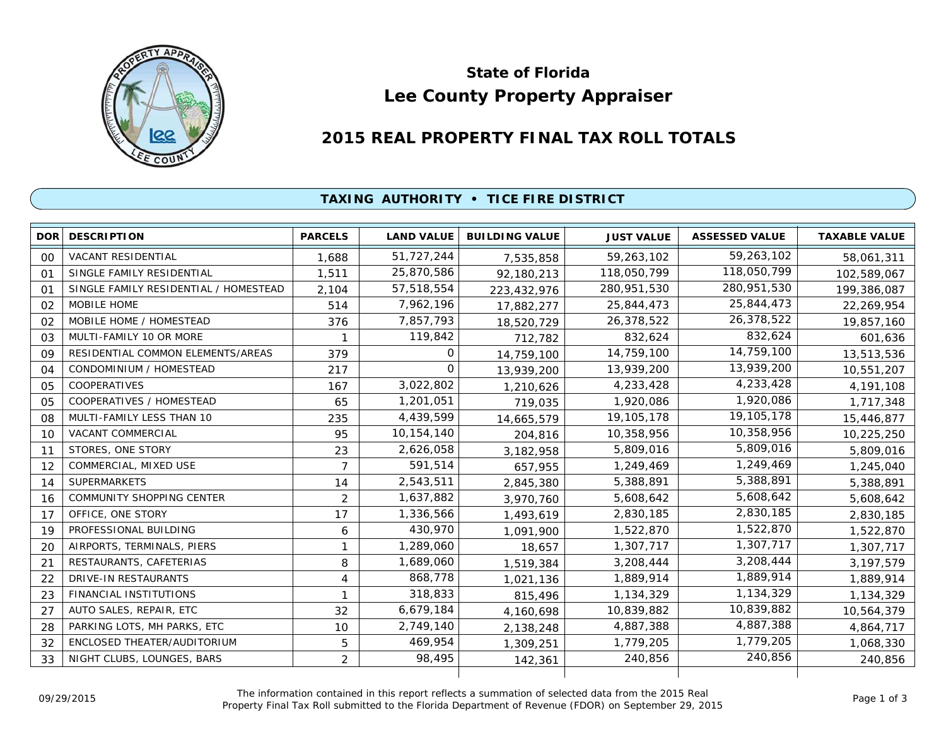

# **Lee County Property Appraiser State of Florida**

## **2015 REAL PROPERTY FINAL TAX ROLL TOTALS**

### **TAXING AUTHORITY • TICE FIRE DISTRICT**

| DOR            | <b>DESCRIPTION</b>                    | <b>PARCELS</b> | <b>LAND VALUE</b> | <b>BUILDING VALUE</b> | <b>JUST VALUE</b> | <b>ASSESSED VALUE</b> | <b>TAXABLE VALUE</b> |
|----------------|---------------------------------------|----------------|-------------------|-----------------------|-------------------|-----------------------|----------------------|
| 00             | <b>VACANT RESIDENTIAL</b>             | 1,688          | 51,727,244        | 7,535,858             | 59,263,102        | 59,263,102            | 58,061,311           |
| 01             | SINGLE FAMILY RESIDENTIAL             | 1,511          | 25,870,586        | 92,180,213            | 118,050,799       | 118,050,799           | 102,589,067          |
| O <sub>1</sub> | SINGLE FAMILY RESIDENTIAL / HOMESTEAD | 2,104          | 57,518,554        | 223,432,976           | 280,951,530       | 280,951,530           | 199,386,087          |
| 02             | <b>MOBILE HOME</b>                    | 514            | 7,962,196         | 17,882,277            | 25,844,473        | 25,844,473            | 22,269,954           |
| 02             | MOBILE HOME / HOMESTEAD               | 376            | 7,857,793         | 18,520,729            | 26,378,522        | 26,378,522            | 19,857,160           |
| 03             | MULTI-FAMILY 10 OR MORE               |                | 119,842           | 712,782               | 832,624           | 832,624               | 601,636              |
| 09             | RESIDENTIAL COMMON ELEMENTS/AREAS     | 379            | 0                 | 14,759,100            | 14,759,100        | 14,759,100            | 13,513,536           |
| 04             | CONDOMINIUM / HOMESTEAD               | 217            | $\Omega$          | 13,939,200            | 13,939,200        | 13,939,200            | 10,551,207           |
| 05             | <b>COOPERATIVES</b>                   | 167            | 3,022,802         | 1,210,626             | 4,233,428         | 4,233,428             | 4,191,108            |
| 05             | COOPERATIVES / HOMESTEAD              | 65             | 1,201,051         | 719,035               | 1,920,086         | 1,920,086             | 1,717,348            |
| 08             | MULTI-FAMILY LESS THAN 10             | 235            | 4,439,599         | 14,665,579            | 19,105,178        | 19,105,178            | 15,446,877           |
| 10             | <b>VACANT COMMERCIAL</b>              | 95             | 10,154,140        | 204,816               | 10,358,956        | 10,358,956            | 10,225,250           |
| 11             | STORES, ONE STORY                     | 23             | 2,626,058         | 3,182,958             | 5,809,016         | 5,809,016             | 5,809,016            |
| 12             | COMMERCIAL, MIXED USE                 | 7              | 591,514           | 657,955               | 1,249,469         | 1,249,469             | 1,245,040            |
| 14             | <b>SUPERMARKETS</b>                   | 14             | 2,543,511         | 2,845,380             | 5,388,891         | 5,388,891             | 5,388,891            |
| 16             | <b>COMMUNITY SHOPPING CENTER</b>      | 2              | 1,637,882         | 3,970,760             | 5,608,642         | 5,608,642             | 5,608,642            |
| 17             | OFFICE, ONE STORY                     | 17             | 1,336,566         | 1,493,619             | 2,830,185         | 2,830,185             | 2,830,185            |
| 19             | PROFESSIONAL BUILDING                 | 6              | 430,970           | 1,091,900             | 1,522,870         | 1,522,870             | 1,522,870            |
| 20             | AIRPORTS, TERMINALS, PIERS            | 1              | 1,289,060         | 18,657                | 1,307,717         | 1,307,717             | 1,307,717            |
| 21             | RESTAURANTS, CAFETERIAS               | 8              | 1,689,060         | 1,519,384             | 3,208,444         | 3,208,444             | 3, 197, 579          |
| 22             | <b>DRIVE-IN RESTAURANTS</b>           | $\overline{4}$ | 868,778           | 1,021,136             | 1,889,914         | 1,889,914             | 1,889,914            |
| 23             | FINANCIAL INSTITUTIONS                |                | 318,833           | 815,496               | 1,134,329         | 1,134,329             | 1,134,329            |
| 27             | AUTO SALES, REPAIR, ETC               | 32             | 6,679,184         | 4,160,698             | 10,839,882        | 10,839,882            | 10,564,379           |
| 28             | PARKING LOTS, MH PARKS, ETC           | 10             | 2,749,140         | 2,138,248             | 4,887,388         | 4,887,388             | 4,864,717            |
| 32             | ENCLOSED THEATER/AUDITORIUM           | 5              | 469,954           | 1,309,251             | 1,779,205         | 1,779,205             | 1,068,330            |
| 33             | NIGHT CLUBS, LOUNGES, BARS            | $\overline{2}$ | 98,495            | 142,361               | 240,856           | 240,856               | 240,856              |
|                |                                       |                |                   |                       |                   |                       |                      |

The information contained in this report reflects a summation of selected data from the 2015 Real Ine information contained in this report reflects a summation of selected data from the 2015 Real<br>Property Final Tax Roll submitted to the Florida Department of Revenue (FDOR) on September 29, 2015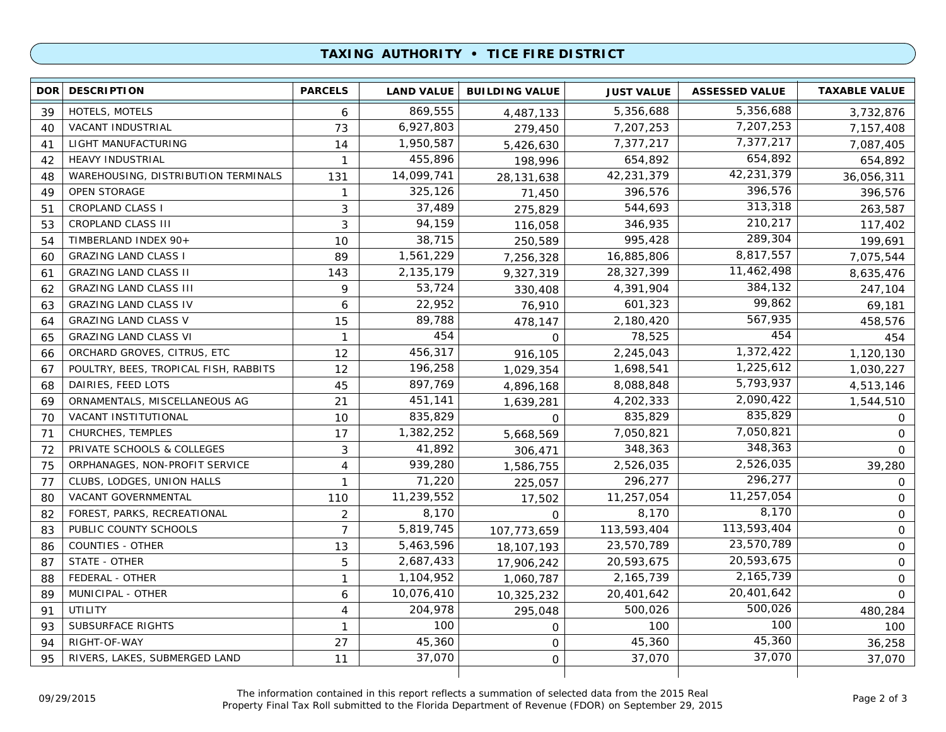#### **TAXING AUTHORITY • TICE FIRE DISTRICT**

| 5,356,688<br>869,555<br><b>HOTELS, MOTELS</b><br>5,356,688<br>39<br>6<br>4,487,133<br>7,207,253<br>6,927,803<br>73<br>7,207,253<br>VACANT INDUSTRIAL<br>40<br>279,450<br>7,377,217<br>1,950,587<br>LIGHT MANUFACTURING<br>7,377,217<br>14<br>41<br>5,426,630<br>654,892<br>455,896<br><b>HEAVY INDUSTRIAL</b><br>654,892<br>42<br>$\mathbf{1}$<br>198,996<br>42,231,379<br>14,099,741<br>WAREHOUSING, DISTRIBUTION TERMINALS<br>42,231,379<br>131<br>48<br>28,131,638<br>396,576<br><b>OPEN STORAGE</b><br>325,126<br>396,576<br>49<br>1<br>71,450<br>313,318<br>37,489<br>544,693<br><b>CROPLAND CLASS I</b><br>3<br>51<br>275,829<br>210,217<br>94,159<br><b>CROPLAND CLASS III</b><br>3<br>346,935<br>53<br>116,058<br>289,304<br>38,715<br>995,428<br>TIMBERLAND INDEX 90+<br>10<br>54<br>250,589<br>8,817,557<br>1,561,229<br>16,885,806<br><b>GRAZING LAND CLASS I</b><br>89<br>60<br>7,256,328<br>11,462,498<br>2,135,179<br>28,327,399<br><b>GRAZING LAND CLASS II</b><br>143<br>61<br>9,327,319<br>384,132<br>53,724<br><b>GRAZING LAND CLASS III</b><br>4,391,904<br>9<br>62<br>330,408<br>99,862<br>22,952<br><b>GRAZING LAND CLASS IV</b><br>601,323<br>63<br>6<br>76,910<br>567,935<br>89,788<br><b>GRAZING LAND CLASS V</b><br>2,180,420<br>15<br>64<br>478,147<br>454<br>454<br><b>GRAZING LAND CLASS VI</b><br>78,525<br>$\mathbf{1}$<br>65<br>$\mathbf 0$<br>1,372,422<br>456,317<br>ORCHARD GROVES, CITRUS, ETC<br>12<br>2,245,043<br>66<br>916,105<br>1,225,612<br>196,258<br>POULTRY, BEES, TROPICAL FISH, RABBITS<br>1,698,541<br>67<br>$12 \overline{ }$<br>1,029,354<br>5,793,937<br>897,769<br>8,088,848<br>DAIRIES, FEED LOTS<br>45<br>68<br>4,896,168<br>2,090,422<br>451,141<br>4,202,333<br>ORNAMENTALS, MISCELLANEOUS AG<br>21<br>69<br>1,639,281<br>835,829<br>835,829<br>835,829<br>VACANT INSTITUTIONAL<br>70<br>10<br>$\mathsf{O}$<br>7,050,821<br>1,382,252<br>CHURCHES, TEMPLES<br>7,050,821<br>71<br>17<br>5,668,569<br>348,363<br>41,892<br>PRIVATE SCHOOLS & COLLEGES<br>348,363<br>72<br>3<br>306,471<br>2,526,035<br>939,280<br>ORPHANAGES, NON-PROFIT SERVICE<br>2,526,035<br>75<br>4<br>1,586,755<br>296,277<br>71,220<br>296,277<br>77<br>CLUBS, LODGES, UNION HALLS<br>1<br>225,057<br>11,257,054<br>11,239,552<br>VACANT GOVERNMENTAL<br>11,257,054<br>110<br>80<br>17,502<br>8,170<br>8,170<br>$\overline{c}$<br>8,170<br>FOREST, PARKS, RECREATIONAL<br>82<br>0<br>113,593,404<br>5,819,745<br>PUBLIC COUNTY SCHOOLS<br>$\overline{7}$<br>113,593,404<br>83<br>107,773,659<br>23,570,789<br>5,463,596<br><b>COUNTIES - OTHER</b><br>23,570,789<br>13<br>86<br>18, 107, 193<br>20,593,675<br>2,687,433<br>STATE - OTHER<br>5<br>20,593,675<br>87<br>17,906,242 | <b>DOR</b> | <b>DESCRIPTION</b> | <b>PARCELS</b> | <b>LAND VALUE</b> | <b>BUILDING VALUE</b> | <b>JUST VALUE</b> | <b>ASSESSED VALUE</b> | <b>TAXABLE VALUE</b> |
|--------------------------------------------------------------------------------------------------------------------------------------------------------------------------------------------------------------------------------------------------------------------------------------------------------------------------------------------------------------------------------------------------------------------------------------------------------------------------------------------------------------------------------------------------------------------------------------------------------------------------------------------------------------------------------------------------------------------------------------------------------------------------------------------------------------------------------------------------------------------------------------------------------------------------------------------------------------------------------------------------------------------------------------------------------------------------------------------------------------------------------------------------------------------------------------------------------------------------------------------------------------------------------------------------------------------------------------------------------------------------------------------------------------------------------------------------------------------------------------------------------------------------------------------------------------------------------------------------------------------------------------------------------------------------------------------------------------------------------------------------------------------------------------------------------------------------------------------------------------------------------------------------------------------------------------------------------------------------------------------------------------------------------------------------------------------------------------------------------------------------------------------------------------------------------------------------------------------------------------------------------------------------------------------------------------------------------------------------------------------------------------------------------------------------------------------------------------------------------------------------------------------------------------------------------------------------------------------------------------------------------------------------------------------------------------------------------------|------------|--------------------|----------------|-------------------|-----------------------|-------------------|-----------------------|----------------------|
|                                                                                                                                                                                                                                                                                                                                                                                                                                                                                                                                                                                                                                                                                                                                                                                                                                                                                                                                                                                                                                                                                                                                                                                                                                                                                                                                                                                                                                                                                                                                                                                                                                                                                                                                                                                                                                                                                                                                                                                                                                                                                                                                                                                                                                                                                                                                                                                                                                                                                                                                                                                                                                                                                                              |            |                    |                |                   |                       |                   |                       | 3,732,876            |
|                                                                                                                                                                                                                                                                                                                                                                                                                                                                                                                                                                                                                                                                                                                                                                                                                                                                                                                                                                                                                                                                                                                                                                                                                                                                                                                                                                                                                                                                                                                                                                                                                                                                                                                                                                                                                                                                                                                                                                                                                                                                                                                                                                                                                                                                                                                                                                                                                                                                                                                                                                                                                                                                                                              |            |                    |                |                   |                       |                   |                       | 7,157,408            |
|                                                                                                                                                                                                                                                                                                                                                                                                                                                                                                                                                                                                                                                                                                                                                                                                                                                                                                                                                                                                                                                                                                                                                                                                                                                                                                                                                                                                                                                                                                                                                                                                                                                                                                                                                                                                                                                                                                                                                                                                                                                                                                                                                                                                                                                                                                                                                                                                                                                                                                                                                                                                                                                                                                              |            |                    |                |                   |                       |                   |                       | 7,087,405            |
|                                                                                                                                                                                                                                                                                                                                                                                                                                                                                                                                                                                                                                                                                                                                                                                                                                                                                                                                                                                                                                                                                                                                                                                                                                                                                                                                                                                                                                                                                                                                                                                                                                                                                                                                                                                                                                                                                                                                                                                                                                                                                                                                                                                                                                                                                                                                                                                                                                                                                                                                                                                                                                                                                                              |            |                    |                |                   |                       |                   |                       | 654,892              |
|                                                                                                                                                                                                                                                                                                                                                                                                                                                                                                                                                                                                                                                                                                                                                                                                                                                                                                                                                                                                                                                                                                                                                                                                                                                                                                                                                                                                                                                                                                                                                                                                                                                                                                                                                                                                                                                                                                                                                                                                                                                                                                                                                                                                                                                                                                                                                                                                                                                                                                                                                                                                                                                                                                              |            |                    |                |                   |                       |                   |                       | 36,056,311           |
|                                                                                                                                                                                                                                                                                                                                                                                                                                                                                                                                                                                                                                                                                                                                                                                                                                                                                                                                                                                                                                                                                                                                                                                                                                                                                                                                                                                                                                                                                                                                                                                                                                                                                                                                                                                                                                                                                                                                                                                                                                                                                                                                                                                                                                                                                                                                                                                                                                                                                                                                                                                                                                                                                                              |            |                    |                |                   |                       |                   |                       | 396,576              |
|                                                                                                                                                                                                                                                                                                                                                                                                                                                                                                                                                                                                                                                                                                                                                                                                                                                                                                                                                                                                                                                                                                                                                                                                                                                                                                                                                                                                                                                                                                                                                                                                                                                                                                                                                                                                                                                                                                                                                                                                                                                                                                                                                                                                                                                                                                                                                                                                                                                                                                                                                                                                                                                                                                              |            |                    |                |                   |                       |                   |                       | 263,587              |
|                                                                                                                                                                                                                                                                                                                                                                                                                                                                                                                                                                                                                                                                                                                                                                                                                                                                                                                                                                                                                                                                                                                                                                                                                                                                                                                                                                                                                                                                                                                                                                                                                                                                                                                                                                                                                                                                                                                                                                                                                                                                                                                                                                                                                                                                                                                                                                                                                                                                                                                                                                                                                                                                                                              |            |                    |                |                   |                       |                   |                       | 117,402              |
|                                                                                                                                                                                                                                                                                                                                                                                                                                                                                                                                                                                                                                                                                                                                                                                                                                                                                                                                                                                                                                                                                                                                                                                                                                                                                                                                                                                                                                                                                                                                                                                                                                                                                                                                                                                                                                                                                                                                                                                                                                                                                                                                                                                                                                                                                                                                                                                                                                                                                                                                                                                                                                                                                                              |            |                    |                |                   |                       |                   |                       | 199,691              |
|                                                                                                                                                                                                                                                                                                                                                                                                                                                                                                                                                                                                                                                                                                                                                                                                                                                                                                                                                                                                                                                                                                                                                                                                                                                                                                                                                                                                                                                                                                                                                                                                                                                                                                                                                                                                                                                                                                                                                                                                                                                                                                                                                                                                                                                                                                                                                                                                                                                                                                                                                                                                                                                                                                              |            |                    |                |                   |                       |                   |                       | 7,075,544            |
|                                                                                                                                                                                                                                                                                                                                                                                                                                                                                                                                                                                                                                                                                                                                                                                                                                                                                                                                                                                                                                                                                                                                                                                                                                                                                                                                                                                                                                                                                                                                                                                                                                                                                                                                                                                                                                                                                                                                                                                                                                                                                                                                                                                                                                                                                                                                                                                                                                                                                                                                                                                                                                                                                                              |            |                    |                |                   |                       |                   |                       | 8,635,476            |
|                                                                                                                                                                                                                                                                                                                                                                                                                                                                                                                                                                                                                                                                                                                                                                                                                                                                                                                                                                                                                                                                                                                                                                                                                                                                                                                                                                                                                                                                                                                                                                                                                                                                                                                                                                                                                                                                                                                                                                                                                                                                                                                                                                                                                                                                                                                                                                                                                                                                                                                                                                                                                                                                                                              |            |                    |                |                   |                       |                   |                       | 247,104              |
|                                                                                                                                                                                                                                                                                                                                                                                                                                                                                                                                                                                                                                                                                                                                                                                                                                                                                                                                                                                                                                                                                                                                                                                                                                                                                                                                                                                                                                                                                                                                                                                                                                                                                                                                                                                                                                                                                                                                                                                                                                                                                                                                                                                                                                                                                                                                                                                                                                                                                                                                                                                                                                                                                                              |            |                    |                |                   |                       |                   |                       | 69,181               |
|                                                                                                                                                                                                                                                                                                                                                                                                                                                                                                                                                                                                                                                                                                                                                                                                                                                                                                                                                                                                                                                                                                                                                                                                                                                                                                                                                                                                                                                                                                                                                                                                                                                                                                                                                                                                                                                                                                                                                                                                                                                                                                                                                                                                                                                                                                                                                                                                                                                                                                                                                                                                                                                                                                              |            |                    |                |                   |                       |                   |                       | 458,576              |
|                                                                                                                                                                                                                                                                                                                                                                                                                                                                                                                                                                                                                                                                                                                                                                                                                                                                                                                                                                                                                                                                                                                                                                                                                                                                                                                                                                                                                                                                                                                                                                                                                                                                                                                                                                                                                                                                                                                                                                                                                                                                                                                                                                                                                                                                                                                                                                                                                                                                                                                                                                                                                                                                                                              |            |                    |                |                   |                       |                   |                       | 454                  |
|                                                                                                                                                                                                                                                                                                                                                                                                                                                                                                                                                                                                                                                                                                                                                                                                                                                                                                                                                                                                                                                                                                                                                                                                                                                                                                                                                                                                                                                                                                                                                                                                                                                                                                                                                                                                                                                                                                                                                                                                                                                                                                                                                                                                                                                                                                                                                                                                                                                                                                                                                                                                                                                                                                              |            |                    |                |                   |                       |                   |                       | 1,120,130            |
|                                                                                                                                                                                                                                                                                                                                                                                                                                                                                                                                                                                                                                                                                                                                                                                                                                                                                                                                                                                                                                                                                                                                                                                                                                                                                                                                                                                                                                                                                                                                                                                                                                                                                                                                                                                                                                                                                                                                                                                                                                                                                                                                                                                                                                                                                                                                                                                                                                                                                                                                                                                                                                                                                                              |            |                    |                |                   |                       |                   |                       | 1,030,227            |
|                                                                                                                                                                                                                                                                                                                                                                                                                                                                                                                                                                                                                                                                                                                                                                                                                                                                                                                                                                                                                                                                                                                                                                                                                                                                                                                                                                                                                                                                                                                                                                                                                                                                                                                                                                                                                                                                                                                                                                                                                                                                                                                                                                                                                                                                                                                                                                                                                                                                                                                                                                                                                                                                                                              |            |                    |                |                   |                       |                   |                       | 4,513,146            |
|                                                                                                                                                                                                                                                                                                                                                                                                                                                                                                                                                                                                                                                                                                                                                                                                                                                                                                                                                                                                                                                                                                                                                                                                                                                                                                                                                                                                                                                                                                                                                                                                                                                                                                                                                                                                                                                                                                                                                                                                                                                                                                                                                                                                                                                                                                                                                                                                                                                                                                                                                                                                                                                                                                              |            |                    |                |                   |                       |                   |                       | 1,544,510            |
|                                                                                                                                                                                                                                                                                                                                                                                                                                                                                                                                                                                                                                                                                                                                                                                                                                                                                                                                                                                                                                                                                                                                                                                                                                                                                                                                                                                                                                                                                                                                                                                                                                                                                                                                                                                                                                                                                                                                                                                                                                                                                                                                                                                                                                                                                                                                                                                                                                                                                                                                                                                                                                                                                                              |            |                    |                |                   |                       |                   |                       | 0                    |
|                                                                                                                                                                                                                                                                                                                                                                                                                                                                                                                                                                                                                                                                                                                                                                                                                                                                                                                                                                                                                                                                                                                                                                                                                                                                                                                                                                                                                                                                                                                                                                                                                                                                                                                                                                                                                                                                                                                                                                                                                                                                                                                                                                                                                                                                                                                                                                                                                                                                                                                                                                                                                                                                                                              |            |                    |                |                   |                       |                   |                       | $\Omega$             |
|                                                                                                                                                                                                                                                                                                                                                                                                                                                                                                                                                                                                                                                                                                                                                                                                                                                                                                                                                                                                                                                                                                                                                                                                                                                                                                                                                                                                                                                                                                                                                                                                                                                                                                                                                                                                                                                                                                                                                                                                                                                                                                                                                                                                                                                                                                                                                                                                                                                                                                                                                                                                                                                                                                              |            |                    |                |                   |                       |                   |                       | $\Omega$             |
|                                                                                                                                                                                                                                                                                                                                                                                                                                                                                                                                                                                                                                                                                                                                                                                                                                                                                                                                                                                                                                                                                                                                                                                                                                                                                                                                                                                                                                                                                                                                                                                                                                                                                                                                                                                                                                                                                                                                                                                                                                                                                                                                                                                                                                                                                                                                                                                                                                                                                                                                                                                                                                                                                                              |            |                    |                |                   |                       |                   |                       | 39,280               |
|                                                                                                                                                                                                                                                                                                                                                                                                                                                                                                                                                                                                                                                                                                                                                                                                                                                                                                                                                                                                                                                                                                                                                                                                                                                                                                                                                                                                                                                                                                                                                                                                                                                                                                                                                                                                                                                                                                                                                                                                                                                                                                                                                                                                                                                                                                                                                                                                                                                                                                                                                                                                                                                                                                              |            |                    |                |                   |                       |                   |                       | $\circ$              |
|                                                                                                                                                                                                                                                                                                                                                                                                                                                                                                                                                                                                                                                                                                                                                                                                                                                                                                                                                                                                                                                                                                                                                                                                                                                                                                                                                                                                                                                                                                                                                                                                                                                                                                                                                                                                                                                                                                                                                                                                                                                                                                                                                                                                                                                                                                                                                                                                                                                                                                                                                                                                                                                                                                              |            |                    |                |                   |                       |                   |                       | 0                    |
|                                                                                                                                                                                                                                                                                                                                                                                                                                                                                                                                                                                                                                                                                                                                                                                                                                                                                                                                                                                                                                                                                                                                                                                                                                                                                                                                                                                                                                                                                                                                                                                                                                                                                                                                                                                                                                                                                                                                                                                                                                                                                                                                                                                                                                                                                                                                                                                                                                                                                                                                                                                                                                                                                                              |            |                    |                |                   |                       |                   |                       | 0                    |
|                                                                                                                                                                                                                                                                                                                                                                                                                                                                                                                                                                                                                                                                                                                                                                                                                                                                                                                                                                                                                                                                                                                                                                                                                                                                                                                                                                                                                                                                                                                                                                                                                                                                                                                                                                                                                                                                                                                                                                                                                                                                                                                                                                                                                                                                                                                                                                                                                                                                                                                                                                                                                                                                                                              |            |                    |                |                   |                       |                   |                       | $\mathbf 0$          |
|                                                                                                                                                                                                                                                                                                                                                                                                                                                                                                                                                                                                                                                                                                                                                                                                                                                                                                                                                                                                                                                                                                                                                                                                                                                                                                                                                                                                                                                                                                                                                                                                                                                                                                                                                                                                                                                                                                                                                                                                                                                                                                                                                                                                                                                                                                                                                                                                                                                                                                                                                                                                                                                                                                              |            |                    |                |                   |                       |                   |                       | $\mathsf{O}$         |
|                                                                                                                                                                                                                                                                                                                                                                                                                                                                                                                                                                                                                                                                                                                                                                                                                                                                                                                                                                                                                                                                                                                                                                                                                                                                                                                                                                                                                                                                                                                                                                                                                                                                                                                                                                                                                                                                                                                                                                                                                                                                                                                                                                                                                                                                                                                                                                                                                                                                                                                                                                                                                                                                                                              |            |                    |                |                   |                       |                   |                       | $\mathbf 0$          |
|                                                                                                                                                                                                                                                                                                                                                                                                                                                                                                                                                                                                                                                                                                                                                                                                                                                                                                                                                                                                                                                                                                                                                                                                                                                                                                                                                                                                                                                                                                                                                                                                                                                                                                                                                                                                                                                                                                                                                                                                                                                                                                                                                                                                                                                                                                                                                                                                                                                                                                                                                                                                                                                                                                              | 88         | FEDERAL - OTHER    | 1              | 1,104,952         | 1,060,787             | 2,165,739         | 2,165,739             | 0                    |
| 20,401,642<br>10,076,410<br>MUNICIPAL - OTHER<br>20,401,642<br>89<br>6<br>10,325,232                                                                                                                                                                                                                                                                                                                                                                                                                                                                                                                                                                                                                                                                                                                                                                                                                                                                                                                                                                                                                                                                                                                                                                                                                                                                                                                                                                                                                                                                                                                                                                                                                                                                                                                                                                                                                                                                                                                                                                                                                                                                                                                                                                                                                                                                                                                                                                                                                                                                                                                                                                                                                         |            |                    |                |                   |                       |                   |                       | $\Omega$             |
| 500,026<br>204,978<br>500,026<br>UTILITY<br>91<br>4<br>295,048                                                                                                                                                                                                                                                                                                                                                                                                                                                                                                                                                                                                                                                                                                                                                                                                                                                                                                                                                                                                                                                                                                                                                                                                                                                                                                                                                                                                                                                                                                                                                                                                                                                                                                                                                                                                                                                                                                                                                                                                                                                                                                                                                                                                                                                                                                                                                                                                                                                                                                                                                                                                                                               |            |                    |                |                   |                       |                   |                       | 480,284              |
| 100<br>100<br>100<br><b>SUBSURFACE RIGHTS</b><br>93<br>1<br>O                                                                                                                                                                                                                                                                                                                                                                                                                                                                                                                                                                                                                                                                                                                                                                                                                                                                                                                                                                                                                                                                                                                                                                                                                                                                                                                                                                                                                                                                                                                                                                                                                                                                                                                                                                                                                                                                                                                                                                                                                                                                                                                                                                                                                                                                                                                                                                                                                                                                                                                                                                                                                                                |            |                    |                |                   |                       |                   |                       | 100                  |
| 45,360<br>45,360<br>45,360<br>RIGHT-OF-WAY<br>94<br>27<br>0                                                                                                                                                                                                                                                                                                                                                                                                                                                                                                                                                                                                                                                                                                                                                                                                                                                                                                                                                                                                                                                                                                                                                                                                                                                                                                                                                                                                                                                                                                                                                                                                                                                                                                                                                                                                                                                                                                                                                                                                                                                                                                                                                                                                                                                                                                                                                                                                                                                                                                                                                                                                                                                  |            |                    |                |                   |                       |                   |                       | 36,258               |
| 37,070<br>37,070<br>RIVERS, LAKES, SUBMERGED LAND<br>37,070<br>95<br>11<br>0                                                                                                                                                                                                                                                                                                                                                                                                                                                                                                                                                                                                                                                                                                                                                                                                                                                                                                                                                                                                                                                                                                                                                                                                                                                                                                                                                                                                                                                                                                                                                                                                                                                                                                                                                                                                                                                                                                                                                                                                                                                                                                                                                                                                                                                                                                                                                                                                                                                                                                                                                                                                                                 |            |                    |                |                   |                       |                   |                       | 37,070               |